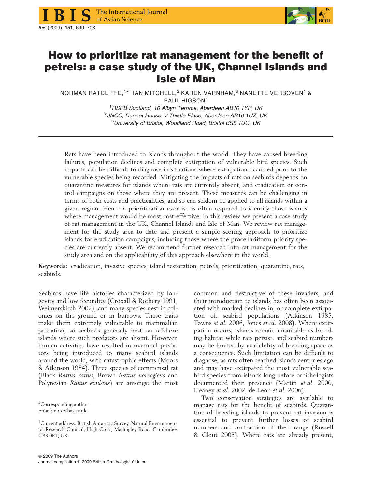

# How to prioritize rat management for the benefit of petrels: a case study of the UK, Channel Islands and Isle of Man

 $\,$ NORMAN RATCLIFFE, $^{1\star}$ † IAN MITCHELL, $^{2}$  KAREN VARNHAM, $^{3}$  NANETTE VERBOVEN $^{1}$  & PAUL HIGSON<sup>1</sup>

> 1 RSPB Scotland, 10 Albyn Terrace, Aberdeen AB10 1YP, UK <sup>2</sup>JNCC, Dunnet House, 7 Thistle Place, Aberdeen AB10 1UZ, UK 3 University of Bristol, Woodland Road, Bristol BS8 1UG, UK

Rats have been introduced to islands throughout the world. They have caused breeding failures, population declines and complete extirpation of vulnerable bird species. Such impacts can be difficult to diagnose in situations where extirpation occurred prior to the vulnerable species being recorded. Mitigating the impacts of rats on seabirds depends on quarantine measures for islands where rats are currently absent, and eradication or control campaigns on those where they are present. These measures can be challenging in terms of both costs and practicalities, and so can seldom be applied to all islands within a given region. Hence a prioritization exercise is often required to identify those islands where management would be most cost-effective. In this review we present a case study of rat management in the UK, Channel Islands and Isle of Man. We review rat management for the study area to date and present a simple scoring approach to prioritize islands for eradication campaigns, including those where the procellariiform priority species are currently absent. We recommend further research into rat management for the study area and on the applicability of this approach elsewhere in the world.

Keywords: eradication, invasive species, island restoration, petrels, prioritization, quarantine, rats, seabirds.

Seabirds have life histories characterized by longevity and low fecundity (Croxall & Rothery 1991, Weimerskirch 2002), and many species nest in colonies on the ground or in burrows. These traits make them extremely vulnerable to mammalian predation, so seabirds generally nest on offshore islands where such predators are absent. However, human activities have resulted in mammal predators being introduced to many seabird islands around the world, with catastrophic effects (Moors & Atkinson 1984). Three species of commensal rat (Black Rattus rattus, Brown Rattus norvegicus and Polynesian Rattus exulans) are amongst the most

\*Corresponding author: Email: notc@bas.ac.uk

common and destructive of these invaders, and their introduction to islands has often been associated with marked declines in, or complete extirpation of, seabird populations (Atkinson 1985, Towns et al. 2006, Jones et al. 2008). Where extirpation occurs, islands remain unsuitable as breeding habitat while rats persist, and seabird numbers may be limited by availability of breeding space as a consequence. Such limitation can be difficult to diagnose, as rats often reached islands centuries ago and may have extirpated the most vulnerable seabird species from islands long before ornithologists documented their presence (Martin et al. 2000, Heaney et al. 2002, de Leon et al. 2006).

Two conservation strategies are available to manage rats for the benefit of seabirds. Quarantine of breeding islands to prevent rat invasion is essential to prevent further losses of seabird numbers and contraction of their range (Russell & Clout 2005). Where rats are already present,

<sup>†</sup> Current address: British Antarctic Survey, Natural Environmental Research Council, High Cross, Madingley Road, Cambridge, CB3 0ET, UK.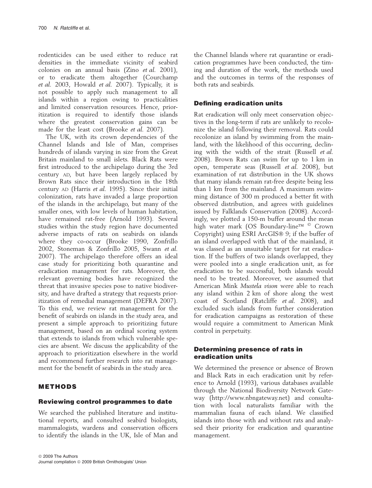rodenticides can be used either to reduce rat densities in the immediate vicinity of seabird colonies on an annual basis (Zino et al. 2001), or to eradicate them altogether (Courchamp et al. 2003, Howald et al. 2007). Typically, it is not possible to apply such management to all islands within a region owing to practicalities and limited conservation resources. Hence, prioritization is required to identify those islands where the greatest conservation gains can be made for the least cost (Brooke *et al.* 2007).

The UK, with its crown dependencies of the Channel Islands and Isle of Man, comprises hundreds of islands varying in size from the Great Britain mainland to small islets. Black Rats were first introduced to the archipelago during the 3rd century AD, but have been largely replaced by Brown Rats since their introduction in the 18th century AD (Harris et al. 1995). Since their initial colonization, rats have invaded a large proportion of the islands in the archipelago, but many of the smaller ones, with low levels of human habitation, have remained rat-free (Arnold 1993). Several studies within the study region have documented adverse impacts of rats on seabirds on islands where they co-occur (Brooke 1990, Zonfrillo 2002, Stoneman & Zonfrillo 2005, Swann et al. 2007). The archipelago therefore offers an ideal case study for prioritizing both quarantine and eradication management for rats. Moreover, the relevant governing bodies have recognized the threat that invasive species pose to native biodiversity, and have drafted a strategy that requests prioritization of remedial management (DEFRA 2007). To this end, we review rat management for the benefit of seabirds on islands in the study area, and present a simple approach to prioritizing future management, based on an ordinal scoring system that extends to islands from which vulnerable species are absent. We discuss the applicability of the approach to prioritization elsewhere in the world and recommend further research into rat management for the benefit of seabirds in the study area.

## METHODS

## Reviewing control programmes to date

We searched the published literature and institutional reports, and consulted seabird biologists, mammalogists, wardens and conservation officers to identify the islands in the UK, Isle of Man and the Channel Islands where rat quarantine or eradication programmes have been conducted, the timing and duration of the work, the methods used and the outcomes in terms of the responses of both rats and seabirds.

#### Defining eradication units

Rat eradication will only meet conservation objectives in the long-term if rats are unlikely to recolonize the island following their removal. Rats could recolonize an island by swimming from the mainland, with the likelihood of this occurring, declining with the width of the strait (Russell et al. 2008). Brown Rats can swim for up to 1 km in open, temperate seas (Russell et al. 2008), but examination of rat distribution in the UK shows that many islands remain rat-free despite being less than 1 km from the mainland. A maximum swimming distance of 300 m produced a better fit with observed distribution, and agrees with guidelines issued by Falklands Conservation (2008). Accordingly, we plotted a 150-m buffer around the mean high water mark (OS Boundary-line<sup>rm ©</sup> Crown Copyright) using ESRI ArcGIS<sup>®</sup> 9; if the buffer of an island overlapped with that of the mainland, it was classed as an unsuitable target for rat eradication. If the buffers of two islands overlapped, they were pooled into a single eradication unit, as for eradication to be successful, both islands would need to be treated. Moreover, we assumed that American Mink Mustela vison were able to reach any island within 2 km of shore along the west coast of Scotland (Ratcliffe et al. 2008), and excluded such islands from further consideration for eradication campaigns as restoration of these would require a commitment to American Mink control in perpetuity.

## Determining presence of rats in eradication units

We determined the presence or absence of Brown and Black Rats in each eradication unit by reference to Arnold (1993), various databases available through the National Biodiversity Network Gateway (http://www.nbngateway.net) and consultation with local naturalists familiar with the mammalian fauna of each island. We classified islands into those with and without rats and analysed their priority for eradication and quarantine management.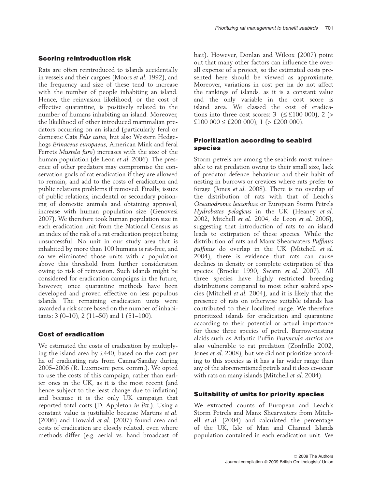## Scoring reintroduction risk

Rats are often reintroduced to islands accidentally in vessels and their cargoes (Moors et al. 1992), and the frequency and size of these tend to increase with the number of people inhabiting an island. Hence, the reinvasion likelihood, or the cost of effective quarantine, is positively related to the number of humans inhabiting an island. Moreover, the likelihood of other introduced mammalian predators occurring on an island (particularly feral or domestic Cats Felis catus, but also Western Hedgehogs Erinaceus europaeus, American Mink and feral Ferrets Mustela furo) increases with the size of the human population (de Leon et al. 2006). The presence of other predators may compromise the conservation goals of rat eradication if they are allowed to remain, and add to the costs of eradication and public relations problems if removed. Finally, issues of public relations, incidental or secondary poisoning of domestic animals and obtaining approval, increase with human population size (Genovesi 2007). We therefore took human population size in each eradication unit from the National Census as an index of the risk of a rat eradication project being unsuccessful. No unit in our study area that is inhabited by more than 100 humans is rat-free, and so we eliminated those units with a population above this threshold from further consideration owing to risk of reinvasion. Such islands might be considered for eradication campaigns in the future, however, once quarantine methods have been developed and proved effective on less populous islands. The remaining eradication units were awarded a risk score based on the number of inhabitants: 3 (0–10), 2 (11–50) and 1 (51–100).

## Cost of eradication

We estimated the costs of eradication by multiplying the island area by £440, based on the cost per ha of eradicating rats from Canna/Sanday during 2005–2006 (R. Luxmoore pers. comm.). We opted to use the costs of this campaign, rather than earlier ones in the UK, as it is the most recent (and hence subject to the least change due to inflation) and because it is the only UK campaign that reported total costs (D. Appleton in litt.). Using a constant value is justifiable because Martins et al. (2006) and Howald et al. (2007) found area and costs of eradication are closely related, even where methods differ (e.g. aerial vs. hand broadcast of bait). However, Donlan and Wilcox (2007) point out that many other factors can influence the overall expense of a project, so the estimated costs presented here should be viewed as approximate. Moreover, variations in cost per ha do not affect the rankings of islands, as it is a constant value and the only variable in the cost score is island area. We classed the cost of eradications into three cost scores:  $3 \leq \text{\pounds}100\,000$ ,  $2 \leq$  $£100 000 \le £200 000$ , 1 (> £200 000).

## Prioritization according to seabird species

Storm petrels are among the seabirds most vulnerable to rat predation owing to their small size, lack of predator defence behaviour and their habit of nesting in burrows or crevices where rats prefer to forage (Jones et al. 2008). There is no overlap of the distribution of rats with that of Leach's Oceanodroma leucorhoa or European Storm Petrels Hydrobates pelagicus in the UK (Heaney et al. 2002, Mitchell et al. 2004, de Leon et al. 2006), suggesting that introduction of rats to an island leads to extirpation of these species. While the distribution of rats and Manx Shearwaters Puffinus puffinus do overlap in the UK (Mitchell et al. 2004), there is evidence that rats can cause declines in density or complete extirpation of this species (Brooke 1990, Swann et al. 2007). All three species have highly restricted breeding distributions compared to most other seabird species (Mitchell et al. 2004), and it is likely that the presence of rats on otherwise suitable islands has contributed to their localized range. We therefore prioritized islands for eradication and quarantine according to their potential or actual importance for these three species of petrel. Burrow-nesting alcids such as Atlantic Puffin Fratercula arctica are also vulnerable to rat predation (Zonfrillo 2002, Jones et al. 2008), but we did not prioritize according to this species as it has a far wider range than any of the aforementioned petrels and it does co-occur with rats on many islands (Mitchell *et al.* 2004).

## Suitability of units for priority species

We extracted counts of European and Leach's Storm Petrels and Manx Shearwaters from Mitchell et al. (2004) and calculated the percentage of the UK, Isle of Man and Channel Islands population contained in each eradication unit. We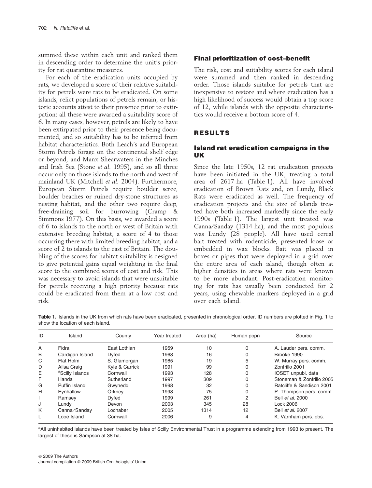summed these within each unit and ranked them in descending order to determine the unit's priority for rat quarantine measures.

For each of the eradication units occupied by rats, we developed a score of their relative suitability for petrels were rats to be eradicated. On some islands, relict populations of petrels remain, or historic accounts attest to their presence prior to extirpation: all these were awarded a suitability score of 6. In many cases, however, petrels are likely to have been extirpated prior to their presence being documented, and so suitability has to be inferred from habitat characteristics. Both Leach's and European Storm Petrels forage on the continental shelf edge or beyond, and Manx Shearwaters in the Minches and Irish Sea (Stone et al. 1995), and so all three occur only on those islands to the north and west of mainland UK (Mitchell et al. 2004). Furthermore, European Storm Petrels require boulder scree, boulder beaches or ruined dry-stone structures as nesting habitat, and the other two require deep, free-draining soil for burrowing (Cramp & Simmons 1977). On this basis, we awarded a score of 6 to islands to the north or west of Britain with extensive breeding habitat, a score of 4 to those occurring there with limited breeding habitat, and a score of 2 to islands to the east of Britain. The doubling of the scores for habitat suitability is designed to give potential gains equal weighting in the final score to the combined scores of cost and risk. This was necessary to avoid islands that were unsuitable for petrels receiving a high priority because rats could be eradicated from them at a low cost and risk.

#### Final prioritization of cost–benefit

The risk, cost and suitability scores for each island were summed and then ranked in descending order. Those islands suitable for petrels that are inexpensive to restore and where eradication has a high likelihood of success would obtain a top score of 12, while islands with the opposite characteristics would receive a bottom score of 4.

## RESULTS

#### Island rat eradication campaigns in the UK

Since the late 1950s, 12 rat eradication projects have been initiated in the UK, treating a total area of 2617 ha (Table 1). All have involved eradication of Brown Rats and, on Lundy, Black Rats were eradicated as well. The frequency of eradication projects and the size of islands treated have both increased markedly since the early 1990s (Table 1). The largest unit treated was Canna/Sanday (1314 ha), and the most populous was Lundy (28 people). All have used cereal bait treated with rodenticide, presented loose or embedded in wax blocks. Bait was placed in boxes or pipes that were deployed in a grid over the entire area of each island, though often at higher densities in areas where rats were known to be more abundant. Post-eradication monitoring for rats has usually been conducted for 2 years, using chewable markers deployed in a grid over each island.

Table 1. Islands in the UK from which rats have been eradicated, presented in chronological order. ID numbers are plotted in Fig. 1 to show the location of each island.

| ID | Island                      | County         | Year treated | Area (ha) | Human popn | Source                    |
|----|-----------------------------|----------------|--------------|-----------|------------|---------------------------|
| A  | Fidra                       | East Lothian   | 1959         | 10        | 0          | A. Lauder pers. comm.     |
| B  | Cardigan Island             | <b>D</b> vfed  | 1968         | 16        | 0          | Brooke 1990               |
| C  | Flat Holm                   | S. Glamorgan   | 1985         | 19        | 5          | W. Murray pers. comm.     |
| D  | Ailsa Craig                 | Kyle & Carrick | 1991         | 99        | $\Omega$   | Zonfrillo 2001            |
| E  | <sup>a</sup> Scilly Islands | Cornwall       | 1993         | 128       | 0          | IOSET unpubl. data        |
| F  | Handa                       | Sutherland     | 1997         | 309       | 0          | Stoneman & Zonfrillo 2005 |
| G  | Puffin Island               | Gwynedd        | 1998         | 32        | 0          | Ratcliffe & Sandison 2001 |
| H  | Eynhallow                   | Orkney         | 1998         | 75        | $\Omega$   | P. Thompson pers. comm.   |
|    | Ramsey                      | Dyfed          | 1999         | 261       | 2          | Bell <i>et al.</i> 2000   |
| J  | Lundy                       | Devon          | 2003         | 345       | 28         | Lock 2006                 |
| K  | Canna/Sanday                | Lochaber       | 2005         | 1314      | 12         | Bell et al. 2007          |
| L  | Looe Island                 | Cornwall       | 2006         | 9         | 4          | K. Varnham pers. obs.     |

aAll uninhabited islands have been treated by Isles of Scilly Environmental Trust in a programme extending from 1993 to present. The largest of these is Sampson at 38 ha.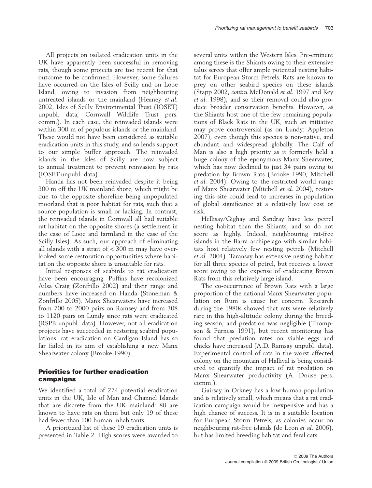All projects on isolated eradication units in the UK have apparently been successful in removing rats, though some projects are too recent for that outcome to be confirmed. However, some failures have occurred on the Isles of Scilly and on Looe Island, owing to invasion from neighbouring untreated islands or the mainland (Heaney et al. 2002, Isles of Scilly Environmental Trust (IOSET) unpubl. data, Cornwall Wildlife Trust pers. comm.). In each case, the reinvaded islands were within 300 m of populous islands or the mainland. These would not have been considered as suitable eradication units in this study, and so lends support to our simple buffer approach. The reinvaded islands in the Isles of Scilly are now subject to annual treatment to prevent reinvasion by rats (IOSET unpubl. data).

Handa has not been reinvaded despite it being 300 m off the UK mainland shore, which might be due to the opposite shoreline being unpopulated moorland that is poor habitat for rats, such that a source population is small or lacking. In contrast, the reinvaded islands in Cornwall all had suitable rat habitat on the opposite shores (a settlement in the case of Looe and farmland in the case of the Scilly Isles). As such, our approach of eliminating all islands with a strait of < 300 m may have overlooked some restoration opportunities where habitat on the opposite shore is unsuitable for rats.

Initial responses of seabirds to rat eradication have been encouraging. Puffins have recolonized Ailsa Craig (Zonfrillo 2002) and their range and numbers have increased on Handa (Stoneman & Zonfrillo 2005). Manx Shearwaters have increased from 700 to 2000 pairs on Ramsey and from 308 to 1120 pairs on Lundy since rats were eradicated (RSPB unpubl. data). However, not all eradication projects have succeeded in restoring seabird populations: rat eradication on Cardigan Island has so far failed in its aim of establishing a new Manx Shearwater colony (Brooke 1990).

#### Priorities for further eradication campaigns

We identified a total of 274 potential eradication units in the UK, Isle of Man and Channel Islands that are discrete from the UK mainland: 80 are known to have rats on them but only 19 of these had fewer than 100 human inhabitants.

A prioritized list of these 19 eradication units is presented in Table 2. High scores were awarded to several units within the Western Isles. Pre-eminent among these is the Shiants owing to their extensive talus screes that offer ample potential nesting habitat for European Storm Petrels. Rats are known to prey on other seabird species on these islands (Stapp 2002, contra McDonald et al. 1997 and Key et al. 1998), and so their removal could also produce broader conservation benefits. However, as the Shiants host one of the few remaining populations of Black Rats in the UK, such an initiative may prove controversial (as on Lundy: Appleton 2007), even though this species is non-native, and abundant and widespread globally. The Calf of Man is also a high priority as it formerly held a huge colony of the eponymous Manx Shearwater, which has now declined to just 34 pairs owing to predation by Brown Rats (Brooke 1990, Mitchell et al. 2004). Owing to the restricted world range of Manx Shearwater (Mitchell et al. 2004), restoring this site could lead to increases in population of global significance at a relatively low cost or risk.

Hellisay/Gighay and Sandray have less petrel nesting habitat than the Shiants, and so do not score as highly. Indeed, neighbouring rat-free islands in the Barra archipelago with similar habitats host relatively few nesting petrels (Mitchell et al. 2004). Taransay has extensive nesting habitat for all three species of petrel, but receives a lower score owing to the expense of eradicating Brown Rats from this relatively large island.

The co-occurrence of Brown Rats with a large proportion of the national Manx Shearwater population on Rum is cause for concern. Research during the 1980s showed that rats were relatively rare in this high-altitude colony during the breeding season, and predation was negligible (Thompson & Furness 1991), but recent monitoring has found that predation rates on viable eggs and chicks have increased (A.D. Ramsay unpubl. data). Experimental control of rats in the worst affected colony on the mountain of Hallival is being considered to quantify the impact of rat predation on Manx Shearwater productivity (A. Douse pers. comm.).

Gairsay in Orkney has a low human population and is relatively small, which means that a rat eradication campaign would be inexpensive and has a high chance of success. It is in a suitable location for European Storm Petrels, as colonies occur on neighbouring rat-free islands (de Leon et al. 2006), but has limited breeding habitat and feral cats.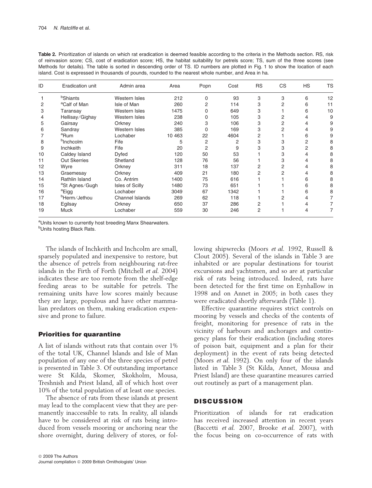| ID | <b>Eradication unit</b>    | Admin area             | Area   | Popn     | Cost           | <b>RS</b> | <b>CS</b>      | HS | <b>TS</b> |
|----|----------------------------|------------------------|--------|----------|----------------|-----------|----------------|----|-----------|
|    | <sup>b</sup> Shiants       | Western Isles          | 212    | $\Omega$ | 93             | 3         | 3              | 6  | 12        |
| 2  | <sup>a</sup> Calf of Man   | Isle of Man            | 260    | 2        | 114            | 3         | 2              | 6  | 11        |
| 3  | Taransay                   | <b>Western Isles</b>   | 1475   | 0        | 649            | 3         |                | 6  | 10        |
| 4  | Hellisay/Gighay            | Western Isles          | 238    | 0        | 105            | 3         | 2              | 4  | 9         |
| 5  | Gairsay                    | Orkney                 | 240    | 3        | 106            | 3         | $\overline{2}$ | 4  | 9         |
| 6  | Sandray                    | Western Isles          | 385    | 0        | 169            | 3         | 2              | 4  | 9         |
|    | <sup>a</sup> Rum           | Lochaber               | 10 463 | 22       | 4604           | 2         |                | 6  | 9         |
| 8  | <sup>b</sup> Inchcolm      | Fife                   | 5      | 2        | $\overline{2}$ | 3         | 3              | 2  | 8         |
| 9  | Inchkeith                  | Fife                   | 20     | 2        | 9              | З         |                | 2  | 8         |
| 10 | Caldey Island              | Dyfed                  | 120    | 50       | 53             |           | 3              |    | 8         |
| 11 | <b>Out Skerries</b>        | Shetland               | 128    | 76       | 56             |           | 3              | 4  | 8         |
| 12 | Wyre                       | Orkney                 | 311    | 18       | 137            | 2         | 2              | 4  | 8         |
| 13 | Graemesay                  | Orkney                 | 409    | 21       | 180            | 2         | 2              |    | 8         |
| 14 | Rathlin Island             | Co. Antrim             | 1400   | 75       | 616            |           |                | 6  | 8         |
| 15 | <sup>a</sup> St Agnes/Gugh | Isles of Scilly        | 1480   | 73       | 651            |           |                | 6  | 8         |
| 16 | <sup>a</sup> Eigg          | Lochaber               | 3049   | 67       | 1342           |           |                | 6  | 8         |
| 17 | <sup>b</sup> Herm/Jethou   | <b>Channel Islands</b> | 269    | 62       | 118            |           | 2              | 4  |           |
| 18 | Egilsay                    | Orkney                 | 650    | 37       | 286            | 2         |                | 4  |           |
| 19 | <b>Muck</b>                | Lochaber               | 559    | 30       | 246            | 2         |                | 4  |           |

Table 2. Prioritization of islands on which rat eradication is deemed feasible according to the criteria in the Methods section. RS, risk of reinvasion score; CS, cost of eradication score; HS, the habitat suitability for petrels score; TS, sum of the three scores (see Methods for details). The table is sorted in descending order of TS. ID numbers are plotted in Fig. 1 to show the location of each island. Cost is expressed in thousands of pounds, rounded to the nearest whole number, and Area in ha.

aUnits known to currently host breeding Manx Shearwaters. **bUnits hosting Black Rats.** 

The islands of Inchkeith and Inchcolm are small, sparsely populated and inexpensive to restore, but the absence of petrels from neighbouring rat-free islands in the Firth of Forth (Mitchell et al. 2004) indicates these are too remote from the shelf-edge feeding areas to be suitable for petrels. The remaining units have low scores mainly because they are large, populous and have other mammalian predators on them, making eradication expensive and prone to failure.

## Priorities for quarantine

A list of islands without rats that contain over 1% of the total UK, Channel Islands and Isle of Man population of any one of the three species of petrel is presented in Table 3. Of outstanding importance were St Kilda, Skomer, Skokholm, Mousa, Treshnish and Priest Island, all of which host over 10% of the total population of at least one species.

The absence of rats from these islands at present may lead to the complacent view that they are permanently inaccessible to rats. In reality, all islands have to be considered at risk of rats being introduced from vessels mooring or anchoring near the shore overnight, during delivery of stores, or folClout 2005). Several of the islands in Table 3 are inhabited or are popular destinations for tourist excursions and yachtsmen, and so are at particular risk of rats being introduced. Indeed, rats have been detected for the first time on Eynhallow in 1998 and on Annet in 2005; in both cases they were eradicated shortly afterwards (Table 1). Effective quarantine requires strict controls on

lowing shipwrecks (Moors et al. 1992, Russell &

mooring by vessels and checks of the contents of freight, monitoring for presence of rats in the vicinity of harbours and anchorages and contingency plans for their eradication (including stores of poison bait, equipment and a plan for their deployment) in the event of rats being detected (Moors et al. 1992). On only four of the islands listed in Table 3 (St Kilda, Annet, Mousa and Priest Island) are these quarantine measures carried out routinely as part of a management plan.

## **DISCUSSION**

Prioritization of islands for rat eradication has received increased attention in recent years (Baccetti et al. 2007, Brooke et al. 2007), with the focus being on co-occurrence of rats with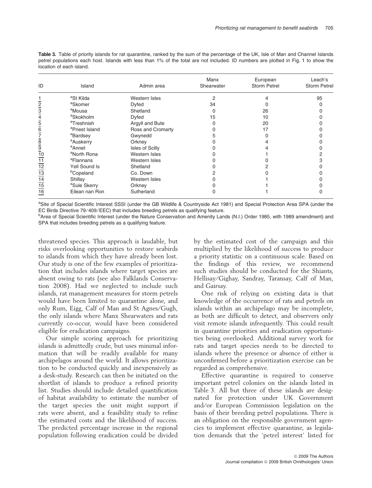Table 3. Table of priority islands for rat quarantine, ranked by the sum of the percentage of the UK, Isle of Man and Channel Islands petrel populations each host. Islands with less than 1% of the total are not included. ID numbers are plotted in Fig. 1 to show the location of each island.

| ID                                                                                                                                    | Island                     | Admin area        | Manx<br>Shearwater | European<br><b>Storm Petrel</b> | Leach's<br><b>Storm Petrel</b> |
|---------------------------------------------------------------------------------------------------------------------------------------|----------------------------|-------------------|--------------------|---------------------------------|--------------------------------|
|                                                                                                                                       | <sup>a</sup> St Kilda      | Western Isles     |                    |                                 | 95                             |
|                                                                                                                                       | <sup>a</sup> Skomer        | Dyfed             | 34                 |                                 |                                |
| $\overline{3}$                                                                                                                        | <sup>a</sup> Mousa         | Shetland          |                    | 26                              |                                |
|                                                                                                                                       | aSkokholm                  | <b>Dyfed</b>      | 15                 | 10                              |                                |
|                                                                                                                                       | <sup>a</sup> Treshnish     | Argyll and Bute   |                    | 20                              |                                |
|                                                                                                                                       | <sup>a</sup> Priest Island | Ross and Cromarty |                    | 17                              |                                |
|                                                                                                                                       | <sup>a</sup> Bardsey       | Gwynedd           |                    |                                 |                                |
|                                                                                                                                       | <sup>a</sup> Auskerry      | Orkney            |                    |                                 |                                |
|                                                                                                                                       | aAnnet                     | Isles of Scilly   |                    |                                 |                                |
|                                                                                                                                       | <sup>a</sup> North Rona    | Western Isles     |                    |                                 |                                |
|                                                                                                                                       | <sup>a</sup> Flannans      | Western Isles     |                    |                                 |                                |
|                                                                                                                                       | Yell Sound Is              | Shetland          |                    |                                 |                                |
|                                                                                                                                       | <sup>b</sup> Copeland      | Co. Down          |                    |                                 |                                |
|                                                                                                                                       | Shillay                    | Western Isles     |                    |                                 |                                |
|                                                                                                                                       | <sup>a</sup> Sule Skerry   | Orkney            |                    |                                 |                                |
| $\frac{4}{5}$ is in the set of the set of $\frac{10}{11}$ in $\frac{11}{12}$ in $\frac{11}{12}$ in $\frac{11}{16}$ in $\frac{11}{16}$ | Eilean nan Ron             | Sutherland        |                    |                                 |                                |

aSite of Special Scientific Interest SSSI (under the GB Wildlife & Countryside Act 1981) and Special Protection Area SPA (under the EC Birds Directive 79/409/EEC) that includes breeding petrels as qualifying feature.

<sup>b</sup>Area of Special Scientific Interest (under the Nature Conservation and Amenity Lands (N.I.) Order 1985, with 1989 amendment) and SPA that includes breeding petrels as a qualifying feature.

threatened species. This approach is laudable, but risks overlooking opportunities to restore seabirds to islands from which they have already been lost. Our study is one of the few examples of prioritization that includes islands where target species are absent owing to rats (see also Falklands Conservation 2008). Had we neglected to include such islands, rat management measures for storm petrels would have been limited to quarantine alone, and only Rum, Eigg, Calf of Man and St Agnes⁄ Gugh, the only islands where Manx Shearwaters and rats currently co-occur, would have been considered eligible for eradication campaigns.

Our simple scoring approach for prioritizing islands is admittedly crude, but uses minimal information that will be readily available for many archipelagos around the world. It allows prioritization to be conducted quickly and inexpensively as a desk-study. Research can then be initiated on the shortlist of islands to produce a refined priority list. Studies should include detailed quantification of habitat availability to estimate the number of the target species the unit might support if rats were absent, and a feasibility study to refine the estimated costs and the likelihood of success. The predicted percentage increase in the regional population following eradication could be divided by the estimated cost of the campaign and this multiplied by the likelihood of success to produce a priority statistic on a continuous scale. Based on the findings of this review, we recommend such studies should be conducted for the Shiants, Hellisay/Gighay, Sandray, Taransay, Calf of Man, and Gairsay.

One risk of relying on existing data is that knowledge of the occurrence of rats and petrels on islands within an archipelago may be incomplete, as both are difficult to detect, and observers only visit remote islands infrequently. This could result in quarantine priorities and eradication opportunities being overlooked. Additional survey work for rats and target species needs to be directed to islands where the presence or absence of either is unconfirmed before a prioritization exercise can be regarded as comprehensive.

Effective quarantine is required to conserve important petrel colonies on the islands listed in Table 3. All but three of these islands are designated for protection under UK Government and/or European Commission legislation on the basis of their breeding petrel populations. There is an obligation on the responsible government agencies to implement effective quarantine, as legislation demands that the 'petrel interest' listed for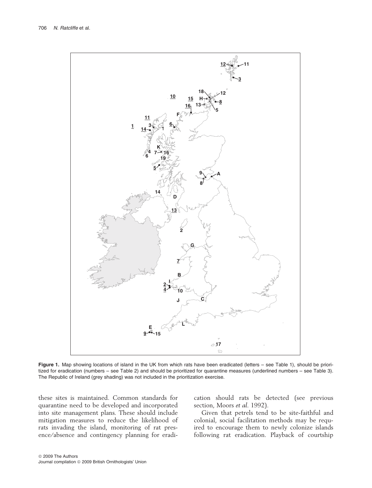

Figure 1. Map showing locations of island in the UK from which rats have been eradicated (letters – see Table 1), should be prioritized for eradication (numbers – see Table 2) and should be prioritized for quarantine measures (underlined numbers – see Table 3). The Republic of Ireland (grey shading) was not included in the prioritization exercise.

these sites is maintained. Common standards for quarantine need to be developed and incorporated into site management plans. These should include mitigation measures to reduce the likelihood of rats invading the island, monitoring of rat presence/absence and contingency planning for eradication should rats be detected (see previous section, Moors et al. 1992).

Given that petrels tend to be site-faithful and colonial, social facilitation methods may be required to encourage them to newly colonize islands following rat eradication. Playback of courtship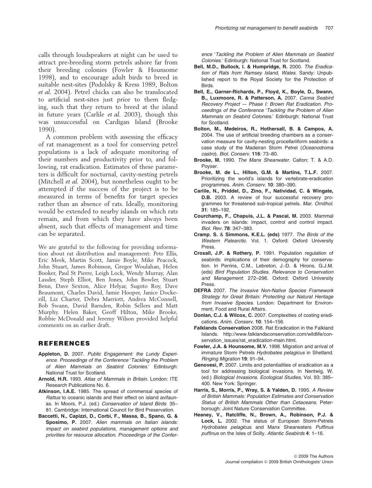calls through loudspeakers at night can be used to attract pre-breeding storm petrels ashore far from their breeding colonies (Fowler & Hounsome 1998), and to encourage adult birds to breed in suitable nest-sites (Podolsky & Kress 1989, Bolton et al. 2004). Petrel chicks can also be translocated to artificial nest-sites just prior to them fledging, such that they return to breed at the island in future years (Carlile et al. 2003), though this was unsuccessful on Cardigan Island (Brooke 1990).

A common problem with assessing the efficacy of rat management as a tool for conserving petrel populations is a lack of adequate monitoring of their numbers and productivity prior to, and following, rat eradication. Estimates of these parameters is difficult for nocturnal, cavity-nesting petrels (Mitchell et al. 2004), but nonetheless ought to be attempted if the success of the project is to be measured in terms of benefits for target species rather than an absence of rats. Ideally, monitoring would be extended to nearby islands on which rats remain, and from which they have always been absent, such that effects of management and time can be separated.

We are grateful to the following for providing information about rat distribution and management: Pete Ellis, Eric Meek, Martin Scott, Jamie Boyle, Mike Peacock, John Stuart, James Robinson, Gregor Woulahan, Helen Booker, Paul St Pierre, Leigh Lock, Wendy Murray, Alan Lauder, Steph Elliot, Ben Jones, John Bowler, Stuart Benn, Dave Sexton, Alice Helyar, Sugoto Roy, Dave Beaumont, Charles David, Jamie Hooper, Janice Dockerill, Liz Charter, Debra Marriott, Andrea McConnell, Bob Swann, David Barnden, Robin Sellers and Matt Murphy. Helen Baker, Geoff Hilton, Mike Brooke, Robbie McDonald and Jeremy Wilson provided helpful comments on an earlier draft.

#### REFERENCES

- Appleton, D. 2007. Public Engagement: the Lundy Experience. Proceedings of the Conference 'Tackling the Problem of Alien Mammals on Seabird Colonies.' Edinburgh: National Trust for Scotland.
- Arnold, H.R. 1993. Atlas of Mammals in Britain. London: ITE Research Publications No. 6.
- Atkinson, I.A.E. 1985. The spread of commensal species of Rattus to oceanic islands and their effect on island avifaunas. In Moors, P.J. (ed.) Conservation of Island Birds: 35– 81. Cambridge: International Council for Bird Preservation.
- Baccetti, N., Capizzi, D., Corbi, F., Massa, B., Spano, G. & Sposimo, P. 2007. Alien mammals on Italian islands: impact on seabird populations, management options and priorities for resource allocation. Proceedings of the Confer-

ence 'Tackling the Problem of Alien Mammals on Seabird Colonies.' Edinburgh: National Trust for Scotland.

- Bell, M.D., Bullock, I. & Humpridge, R. 2000. The Eradication of Rats from Ramsey Island, Wales. Sandy: Unpublished report to the Royal Society for the Protection of Birds.
- Bell, E., Garner-Richards, P., Floyd, K., Boyle, D., Swann, B., Luxmoore, R. & Patterson, A. 2007. Canna Seabird Recovery Project –- Phase I: Brown Rat Eradication. Proceedings of the Conference 'Tackling the Problem of Alien Mammals on Seabird Colonies.' Edinburgh: National Trust for Scotland.
- Bolton, M., Medeiros, R., Hothersall, B. & Campos, A. 2004. The use of artificial breeding chambers as a conservation measure for cavity-nesting procellariiform seabirds: a case study of the Madeiran Storm Petrel (Oceanodroma castro). Biol. Conserv. 116: 73–80.
- Brooke, M. 1990. The Manx Shearwater. Calton: T. & A.D. Poyser.
- Brooke, M. de L., Hilton, G.M. & Martins, T.L.F. 2007. Prioritizing the world's islands for vertebrate-eradication programmes. Anim. Conserv. 10: 380–390.
- Carlile, N., Priddel, D., Zino, F., Natividad, C. & Wingate, D.B. 2003. A review of four successful recovery programmes for threatened sub-tropical petrels. Mar. Ornithol. 31: 185–192.
- Courchamp, F., Chapuis, J.L. & Pascal, M. 2003. Mammal invaders on islands: impact, control and control impact. Biol. Rev. 78: 347–383.
- Cramp, S. & Simmons, K.E.L. (eds) 1977. The Birds of the Western Palearctic. Vol. 1. Oxford: Oxford University Press.
- Croxall, J.P. & Rothery, P. 1991. Population regulation of seabirds: implications of their demography for conservation. In Perrins, C.M., Lebreton, J.-D. & Hirons, G.J.M. (eds) Bird Population Studies. Relevance to Conservation and Management: 272–296. Oxford: Oxford University Press.
- DEFRA 2007. The Invasive Non-Native Species Framework Strategy for Great Britain: Protecting our Natural Heritage from Invasive Species. London: Department for Environment, Food and Rural Affairs.
- Donlan, C.J. & Wilcox, C. 2007. Complexities of costing eradications. Anim. Conserv. 10: 154-156.
- Falklands Conservation 2008. Rat Eradication in the Falkland Islands. http://www.falklandsconservation.com/wildlife/conservation\_issues/rat\_eradication-main.html.
- Fowler, J.A. & Hounsome, M.V. 1998. Migration and arrival of immature Storm Petrels Hydrobates pelagicus in Shetland. Ringing Migration 19: 91–94.
- Genovesi, P. 2007. Limits and potentialities of eradication as a tool for addressing biological invasions. In Nentwig, W. (ed.) Biological Invasions. Ecological Studies, Vol. 93: 385– 400. New York: Springer.
- Harris, S., Morris, P., Wray, S. & Yalden, D. 1995. A Review of British Mammals: Population Estimates and Conservation Status of British Mammals Other than Cetaceans. Peterborough: Joint Nature Conservation Committee.
- Heaney, V., Ratcliffe, N., Brown, A., Robinson, P.J. & Lock, L. 2002. The status of European Storm-Petrels Hydrobates pelagicus and Manx Shearwaters Puffinus puffinus on the Isles of Scilly. Atlantic Seabirds 4: 1–16.